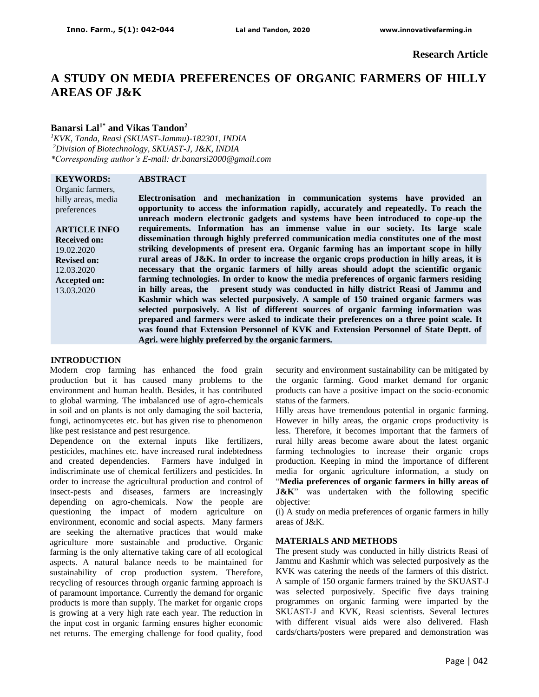# **A STUDY ON MEDIA PREFERENCES OF ORGANIC FARMERS OF HILLY AREAS OF J&K**

## **Banarsi Lal1\* and Vikas Tandon<sup>2</sup>**

*<sup>1</sup>KVK, Tanda, Reasi (SKUAST-Jammu)-182301, INDIA <sup>2</sup>Division of Biotechnology, SKUAST-J, J&K, INDIA \*Corresponding author's E-mail: dr.banarsi2000@gmail.com*

## **KEYWORDS:**

## **ABSTRACT**

Organic farmers, hilly areas, media preferences

**ARTICLE INFO Received on:** 19.02.2020 **Revised on:** 12.03.2020 **Accepted on:** 13.03.2020

**Electronisation and mechanization in communication systems have provided an opportunity to access the information rapidly, accurately and repeatedly. To reach the unreach modern electronic gadgets and systems have been introduced to cope-up the requirements. Information has an immense value in our society. Its large scale dissemination through highly preferred communication media constitutes one of the most striking developments of present era. Organic farming has an important scope in hilly rural areas of J&K. In order to increase the organic crops production in hilly areas, it is necessary that the organic farmers of hilly areas should adopt the scientific organic farming technologies. In order to know the media preferences of organic farmers residing in hilly areas, the present study was conducted in hilly district Reasi of Jammu and Kashmir which was selected purposively. A sample of 150 trained organic farmers was selected purposively. A list of different sources of organic farming information was prepared and farmers were asked to indicate their preferences on a three point scale. It was found that Extension Personnel of KVK and Extension Personnel of State Deptt. of Agri. were highly preferred by the organic farmers.**

## **INTRODUCTION**

Modern crop farming has enhanced the food grain production but it has caused many problems to the environment and human health. Besides, it has contributed to global warming. The imbalanced use of agro-chemicals in soil and on plants is not only damaging the soil bacteria, fungi, actinomycetes etc. but has given rise to phenomenon like pest resistance and pest resurgence.

Dependence on the external inputs like fertilizers, pesticides, machines etc. have increased rural indebtedness and created dependencies. Farmers have indulged in indiscriminate use of chemical fertilizers and pesticides. In order to increase the agricultural production and control of insect-pests and diseases, farmers are increasingly depending on agro-chemicals. Now the people are questioning the impact of modern agriculture on environment, economic and social aspects. Many farmers are seeking the alternative practices that would make agriculture more sustainable and productive. Organic farming is the only alternative taking care of all ecological aspects. A natural balance needs to be maintained for sustainability of crop production system. Therefore, recycling of resources through organic farming approach is of paramount importance. Currently the demand for organic products is more than supply. The market for organic crops is growing at a very high rate each year. The reduction in the input cost in organic farming ensures higher economic net returns. The emerging challenge for food quality, food security and environment sustainability can be mitigated by the organic farming. Good market demand for organic products can have a positive impact on the socio-economic status of the farmers.

Hilly areas have tremendous potential in organic farming. However in hilly areas, the organic crops productivity is less. Therefore, it becomes important that the farmers of rural hilly areas become aware about the latest organic farming technologies to increase their organic crops production. Keeping in mind the importance of different media for organic agriculture information, a study on "**Media preferences of organic farmers in hilly areas of J&K**" was undertaken with the following specific objective:

(i) A study on media preferences of organic farmers in hilly areas of J&K.

#### **MATERIALS AND METHODS**

The present study was conducted in hilly districts Reasi of Jammu and Kashmir which was selected purposively as the KVK was catering the needs of the farmers of this district. A sample of 150 organic farmers trained by the SKUAST-J was selected purposively. Specific five days training programmes on organic farming were imparted by the SKUAST-J and KVK, Reasi scientists. Several lectures with different visual aids were also delivered. Flash cards/charts/posters were prepared and demonstration was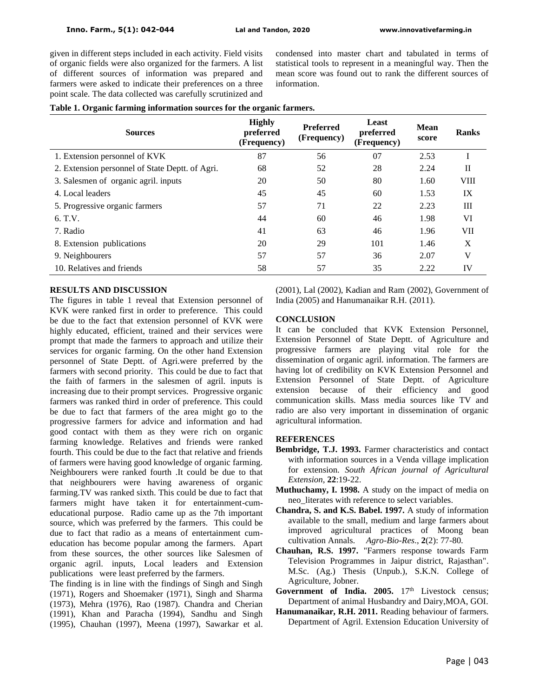given in different steps included in each activity. Field visits of organic fields were also organized for the farmers. A list of different sources of information was prepared and farmers were asked to indicate their preferences on a three point scale. The data collected was carefully scrutinized and

condensed into master chart and tabulated in terms of statistical tools to represent in a meaningful way. Then the mean score was found out to rank the different sources of information.

|  |  |  | Table 1. Organic farming information sources for the organic farmers. |  |  |
|--|--|--|-----------------------------------------------------------------------|--|--|
|  |  |  |                                                                       |  |  |

| <b>Sources</b>                                  | <b>Highly</b><br>preferred<br>(Frequency) | <b>Preferred</b><br>(Frequency) | Least<br>preferred<br>(Frequency) | <b>Mean</b><br>score | <b>Ranks</b> |
|-------------------------------------------------|-------------------------------------------|---------------------------------|-----------------------------------|----------------------|--------------|
| 1. Extension personnel of KVK                   | 87                                        | 56                              | 07                                | 2.53                 |              |
| 2. Extension personnel of State Deptt. of Agri. | 68                                        | 52                              | 28                                | 2.24                 | П            |
| 3. Salesmen of organic agril. inputs            | 20                                        | 50                              | 80                                | 1.60                 | <b>VIII</b>  |
| 4. Local leaders                                | 45                                        | 45                              | 60                                | 1.53                 | IX           |
| 5. Progressive organic farmers                  | 57                                        | 71                              | 22                                | 2.23                 | Ш            |
| 6. T.V.                                         | 44                                        | 60                              | 46                                | 1.98                 | VI           |
| 7. Radio                                        | 41                                        | 63                              | 46                                | 1.96                 | VII          |
| 8. Extension publications                       | 20                                        | 29                              | 101                               | 1.46                 | X            |
| 9. Neighbourers                                 | 57                                        | 57                              | 36                                | 2.07                 | V            |
| 10. Relatives and friends                       | 58                                        | 57                              | 35                                | 2.22                 | IV           |

## **RESULTS AND DISCUSSION**

The figures in table 1 reveal that Extension personnel of KVK were ranked first in order to preference. This could be due to the fact that extension personnel of KVK were highly educated, efficient, trained and their services were prompt that made the farmers to approach and utilize their services for organic farming. On the other hand Extension personnel of State Deptt. of Agri.were preferred by the farmers with second priority. This could be due to fact that the faith of farmers in the salesmen of agril. inputs is increasing due to their prompt services. Progressive organic farmers was ranked third in order of preference. This could be due to fact that farmers of the area might go to the progressive farmers for advice and information and had good contact with them as they were rich on organic farming knowledge. Relatives and friends were ranked fourth. This could be due to the fact that relative and friends of farmers were having good knowledge of organic farming. Neighbourers were ranked fourth .It could be due to that that neighbourers were having awareness of organic farming.TV was ranked sixth. This could be due to fact that farmers might have taken it for entertainment-cumeducational purpose. Radio came up as the 7th important source, which was preferred by the farmers. This could be due to fact that radio as a means of entertainment cumeducation has become popular among the farmers. Apart from these sources, the other sources like Salesmen of organic agril. inputs, Local leaders and Extension publications were least preferred by the farmers.

The finding is in line with the findings of Singh and Singh (1971), Rogers and Shoemaker (1971), Singh and Sharma (1973), Mehra (1976), Rao (1987). Chandra and Cherian (1991), Khan and Paracha (1994), Sandhu and Singh (1995), Chauhan (1997), Meena (1997), Sawarkar et al.

(2001), Lal (2002), Kadian and Ram (2002), Government of India (2005) and Hanumanaikar R.H. (2011).

## **CONCLUSION**

It can be concluded that KVK Extension Personnel, Extension Personnel of State Deptt. of Agriculture and progressive farmers are playing vital role for the dissemination of organic agril. information. The farmers are having lot of credibility on KVK Extension Personnel and Extension Personnel of State Deptt. of Agriculture extension because of their efficiency and good communication skills. Mass media sources like TV and radio are also very important in dissemination of organic agricultural information.

## **REFERENCES**

- **Bembridge, T.J. 1993.** Farmer characteristics and contact with information sources in a Venda village implication for extension. *South African journal of Agricultural Extension*, **22**:19-22.
- **Muthuchamy, I. 1998.** A study on the impact of media on neo\_literates with reference to select variables.
- **Chandra, S. and K.S. Babel. 1997.** A study of information available to the small, medium and large farmers about improved agricultural practices of Moong bean cultivation Annals. *Agro-Bio-Res*., **2**(2): 77-80.
- **Chauhan, R.S. 1997.** "Farmers response towards Farm Television Programmes in Jaipur district, Rajasthan". M.Sc. (Ag.) Thesis (Unpub.), S.K.N. College of Agriculture, Jobner.
- Government of India. 2005. 17<sup>th</sup> Livestock census; Department of animal Husbandry and Dairy,MOA, GOI.
- **Hanumanaikar, R.H. 2011.** Reading behaviour of farmers. Department of Agril. Extension Education University of